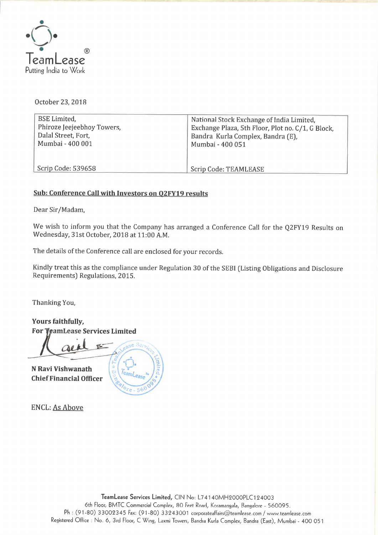

October 23,2018

| <b>BSE</b> Limited,                               | National Stock Exchange of India Limited,                                              |
|---------------------------------------------------|----------------------------------------------------------------------------------------|
| Phiroze Jeejeebhoy Towers,<br>Dalal Street, Fort, | Exchange Plaza, 5th Floor, Plot no. C/1, G Block,<br>Bandra Kurla Complex, Bandra (E), |
| Mumbai - 400 001                                  | Mumbai - 400 051                                                                       |
|                                                   |                                                                                        |
| Scrip Code: 539658                                | Scrip Code: TEAMLEASE                                                                  |

#### Sub: Conference Call with Investors on 02FY19 results

Dear Sir/Madam,

We wish to inform you that the Company has arranged <sup>a</sup> Conference Call for the Q2FY19 Results on Wednesday, 3lst October, 2018 at 11:00 AM.

The details of the Conference call are enclosed for your records.

Kindly treat this as the compliance under Regulation <sup>30</sup> of the SEBI (Listing Obligations and Disclosure Requirements) Regulations, 2015.

Thanking You,

Yours faithfully, For VeamLease Services Limited

N Ravi Vishwanath **Chief Financial Officer** 



ENCL: As Above